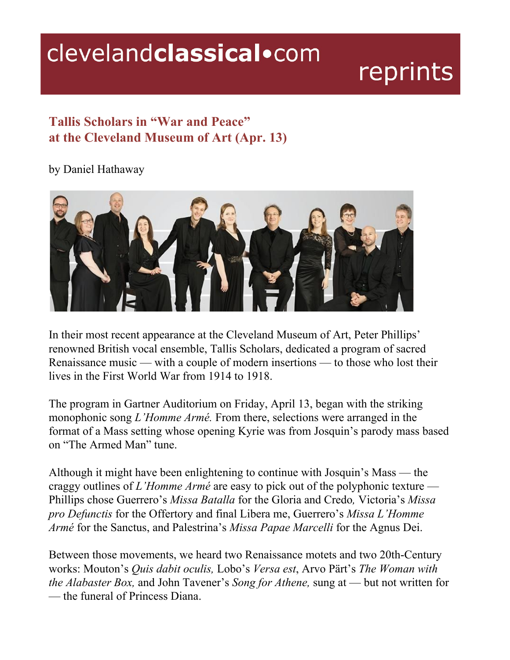## clevelandclassical.com

## reprints

## **Tallis Scholars in "War and Peace" at the Cleveland Museum of Art (Apr. 13)**

by Daniel Hathaway



In their most recent appearance at the Cleveland Museum of Art, Peter Phillips' renowned British vocal ensemble, Tallis Scholars, dedicated a program of sacred Renaissance music — with a couple of modern insertions — to those who lost their lives in the First World War from 1914 to 1918.

The program in Gartner Auditorium on Friday, April 13, began with the striking monophonic song *L'Homme Armé.* From there, selections were arranged in the format of a Mass setting whose opening Kyrie was from Josquin's parody mass based on "The Armed Man" tune.

Although it might have been enlightening to continue with Josquin's Mass — the craggy outlines of *L'Homme Armé* are easy to pick out of the polyphonic texture — Phillips chose Guerrero's *Missa Batalla* for the Gloria and Credo*,* Victoria's *Missa pro Defunctis* for the Offertory and final Libera me, Guerrero's *Missa L'Homme Armé* for the Sanctus, and Palestrina's *Missa Papae Marcelli* for the Agnus Dei.

Between those movements, we heard two Renaissance motets and two 20th-Century works: Mouton's *Quis dabit oculis,* Lobo's *Versa est*, Arvo Pärt's *The Woman with the Alabaster Box,* and John Tavener's *Song for Athene,* sung at — but not written for — the funeral of Princess Diana.